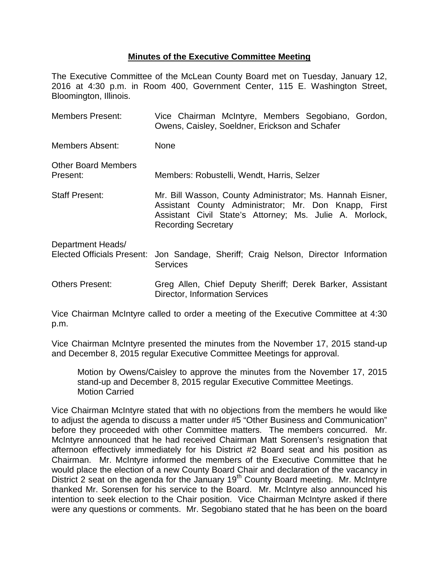## **Minutes of the Executive Committee Meeting**

The Executive Committee of the McLean County Board met on Tuesday, January 12, 2016 at 4:30 p.m. in Room 400, Government Center, 115 E. Washington Street, Bloomington, Illinois.

| <b>Members Present:</b>                                | Vice Chairman McIntyre, Members Segobiano, Gordon,<br>Owens, Caisley, Soeldner, Erickson and Schafer                                                                                                       |
|--------------------------------------------------------|------------------------------------------------------------------------------------------------------------------------------------------------------------------------------------------------------------|
| Members Absent:                                        | <b>None</b>                                                                                                                                                                                                |
| <b>Other Board Members</b><br>Present:                 | Members: Robustelli, Wendt, Harris, Selzer                                                                                                                                                                 |
| <b>Staff Present:</b>                                  | Mr. Bill Wasson, County Administrator; Ms. Hannah Eisner,<br>Assistant County Administrator; Mr. Don Knapp, First<br>Assistant Civil State's Attorney; Ms. Julie A. Morlock,<br><b>Recording Secretary</b> |
| Department Heads/<br><b>Elected Officials Present:</b> | Jon Sandage, Sheriff; Craig Nelson, Director Information<br><b>Services</b>                                                                                                                                |
| <b>Others Present:</b>                                 | Greg Allen, Chief Deputy Sheriff; Derek Barker, Assistant<br><b>Director, Information Services</b>                                                                                                         |

Vice Chairman McIntyre called to order a meeting of the Executive Committee at 4:30 p.m.

Vice Chairman McIntyre presented the minutes from the November 17, 2015 stand-up and December 8, 2015 regular Executive Committee Meetings for approval.

Motion by Owens/Caisley to approve the minutes from the November 17, 2015 stand-up and December 8, 2015 regular Executive Committee Meetings. Motion Carried

Vice Chairman McIntyre stated that with no objections from the members he would like to adjust the agenda to discuss a matter under #5 "Other Business and Communication" before they proceeded with other Committee matters. The members concurred. Mr. McIntyre announced that he had received Chairman Matt Sorensen's resignation that afternoon effectively immediately for his District #2 Board seat and his position as Chairman. Mr. McIntyre informed the members of the Executive Committee that he would place the election of a new County Board Chair and declaration of the vacancy in District 2 seat on the agenda for the January 19<sup>th</sup> County Board meeting. Mr. McIntyre thanked Mr. Sorensen for his service to the Board. Mr. McIntyre also announced his intention to seek election to the Chair position. Vice Chairman McIntyre asked if there were any questions or comments. Mr. Segobiano stated that he has been on the board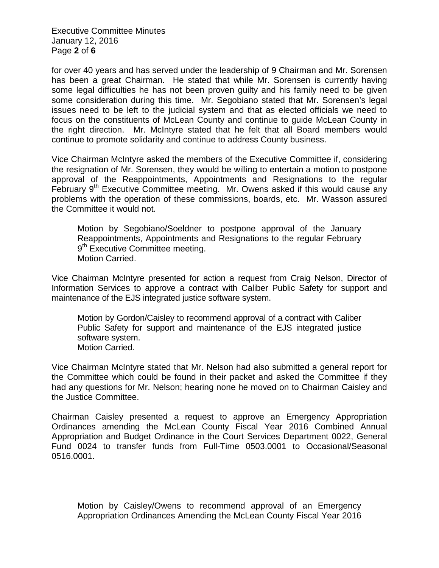Executive Committee Minutes January 12, 2016 Page **2** of **6**

for over 40 years and has served under the leadership of 9 Chairman and Mr. Sorensen has been a great Chairman. He stated that while Mr. Sorensen is currently having some legal difficulties he has not been proven guilty and his family need to be given some consideration during this time. Mr. Segobiano stated that Mr. Sorensen's legal issues need to be left to the judicial system and that as elected officials we need to focus on the constituents of McLean County and continue to guide McLean County in the right direction. Mr. McIntyre stated that he felt that all Board members would continue to promote solidarity and continue to address County business.

Vice Chairman McIntyre asked the members of the Executive Committee if, considering the resignation of Mr. Sorensen, they would be willing to entertain a motion to postpone approval of the Reappointments, Appointments and Resignations to the regular February  $9<sup>th</sup>$  Executive Committee meeting. Mr. Owens asked if this would cause any problems with the operation of these commissions, boards, etc. Mr. Wasson assured the Committee it would not.

Motion by Segobiano/Soeldner to postpone approval of the January Reappointments, Appointments and Resignations to the regular February 9<sup>th</sup> Executive Committee meeting. Motion Carried.

Vice Chairman McIntyre presented for action a request from Craig Nelson, Director of Information Services to approve a contract with Caliber Public Safety for support and maintenance of the EJS integrated justice software system.

Motion by Gordon/Caisley to recommend approval of a contract with Caliber Public Safety for support and maintenance of the EJS integrated justice software system. Motion Carried.

Vice Chairman McIntyre stated that Mr. Nelson had also submitted a general report for the Committee which could be found in their packet and asked the Committee if they had any questions for Mr. Nelson; hearing none he moved on to Chairman Caisley and the Justice Committee.

Chairman Caisley presented a request to approve an Emergency Appropriation Ordinances amending the McLean County Fiscal Year 2016 Combined Annual Appropriation and Budget Ordinance in the Court Services Department 0022, General Fund 0024 to transfer funds from Full-Time 0503.0001 to Occasional/Seasonal 0516.0001.

Motion by Caisley/Owens to recommend approval of an Emergency Appropriation Ordinances Amending the McLean County Fiscal Year 2016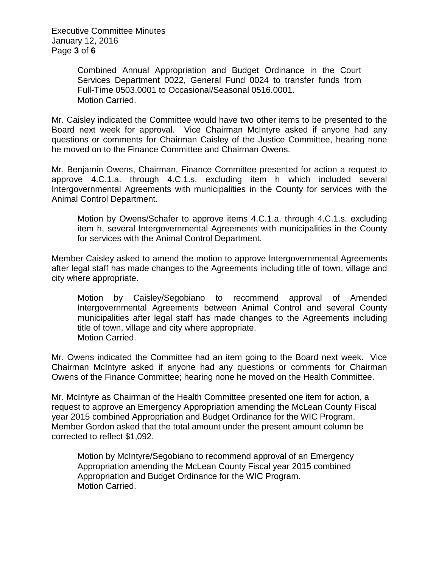Executive Committee Minutes January 12, 2016 Page **3** of **6**

> Combined Annual Appropriation and Budget Ordinance in the Court Services Department 0022, General Fund 0024 to transfer funds from Full-Time 0503.0001 to Occasional/Seasonal 0516.0001. Motion Carried.

Mr. Caisley indicated the Committee would have two other items to be presented to the Board next week for approval. Vice Chairman McIntyre asked if anyone had any questions or comments for Chairman Caisley of the Justice Committee, hearing none he moved on to the Finance Committee and Chairman Owens.

Mr. Benjamin Owens, Chairman, Finance Committee presented for action a request to approve 4.C.1.a. through 4.C.1.s. excluding item h which included several Intergovernmental Agreements with municipalities in the County for services with the Animal Control Department.

Motion by Owens/Schafer to approve items 4.C.1.a. through 4.C.1.s. excluding item h, several Intergovernmental Agreements with municipalities in the County for services with the Animal Control Department.

Member Caisley asked to amend the motion to approve Intergovernmental Agreements after legal staff has made changes to the Agreements including title of town, village and city where appropriate.

Motion by Caisley/Segobiano to recommend approval of Amended Intergovernmental Agreements between Animal Control and several County municipalities after legal staff has made changes to the Agreements including title of town, village and city where appropriate. Motion Carried.

Mr. Owens indicated the Committee had an item going to the Board next week. Vice Chairman McIntyre asked if anyone had any questions or comments for Chairman Owens of the Finance Committee; hearing none he moved on the Health Committee.

Mr. McIntyre as Chairman of the Health Committee presented one item for action, a request to approve an Emergency Appropriation amending the McLean County Fiscal year 2015 combined Appropriation and Budget Ordinance for the WIC Program. Member Gordon asked that the total amount under the present amount column be corrected to reflect \$1,092.

Motion by McIntyre/Segobiano to recommend approval of an Emergency Appropriation amending the McLean County Fiscal year 2015 combined Appropriation and Budget Ordinance for the WIC Program. Motion Carried.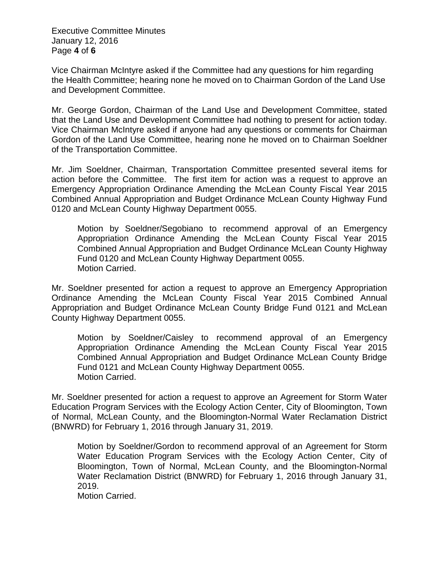Executive Committee Minutes January 12, 2016 Page **4** of **6**

Vice Chairman McIntyre asked if the Committee had any questions for him regarding the Health Committee; hearing none he moved on to Chairman Gordon of the Land Use and Development Committee.

Mr. George Gordon, Chairman of the Land Use and Development Committee, stated that the Land Use and Development Committee had nothing to present for action today. Vice Chairman McIntyre asked if anyone had any questions or comments for Chairman Gordon of the Land Use Committee, hearing none he moved on to Chairman Soeldner of the Transportation Committee.

Mr. Jim Soeldner, Chairman, Transportation Committee presented several items for action before the Committee. The first item for action was a request to approve an Emergency Appropriation Ordinance Amending the McLean County Fiscal Year 2015 Combined Annual Appropriation and Budget Ordinance McLean County Highway Fund 0120 and McLean County Highway Department 0055.

Motion by Soeldner/Segobiano to recommend approval of an Emergency Appropriation Ordinance Amending the McLean County Fiscal Year 2015 Combined Annual Appropriation and Budget Ordinance McLean County Highway Fund 0120 and McLean County Highway Department 0055. Motion Carried.

Mr. Soeldner presented for action a request to approve an Emergency Appropriation Ordinance Amending the McLean County Fiscal Year 2015 Combined Annual Appropriation and Budget Ordinance McLean County Bridge Fund 0121 and McLean County Highway Department 0055.

Motion by Soeldner/Caisley to recommend approval of an Emergency Appropriation Ordinance Amending the McLean County Fiscal Year 2015 Combined Annual Appropriation and Budget Ordinance McLean County Bridge Fund 0121 and McLean County Highway Department 0055. Motion Carried.

Mr. Soeldner presented for action a request to approve an Agreement for Storm Water Education Program Services with the Ecology Action Center, City of Bloomington, Town of Normal, McLean County, and the Bloomington-Normal Water Reclamation District (BNWRD) for February 1, 2016 through January 31, 2019.

Motion by Soeldner/Gordon to recommend approval of an Agreement for Storm Water Education Program Services with the Ecology Action Center, City of Bloomington, Town of Normal, McLean County, and the Bloomington-Normal Water Reclamation District (BNWRD) for February 1, 2016 through January 31, 2019.

Motion Carried.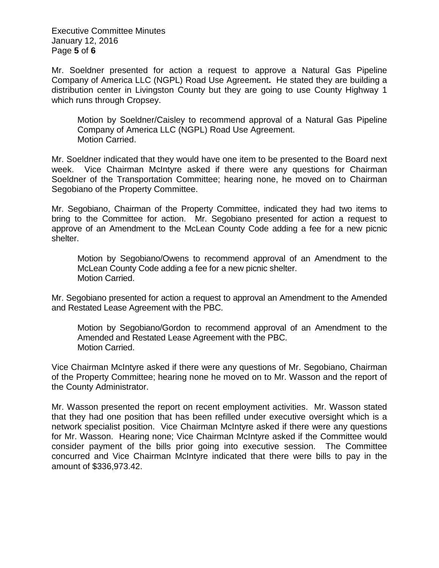Executive Committee Minutes January 12, 2016 Page **5** of **6**

Mr. Soeldner presented for action a request to approve a Natural Gas Pipeline Company of America LLC (NGPL) Road Use Agreement**.** He stated they are building a distribution center in Livingston County but they are going to use County Highway 1 which runs through Cropsey.

Motion by Soeldner/Caisley to recommend approval of a Natural Gas Pipeline Company of America LLC (NGPL) Road Use Agreement. Motion Carried.

Mr. Soeldner indicated that they would have one item to be presented to the Board next week. Vice Chairman McIntyre asked if there were any questions for Chairman Soeldner of the Transportation Committee; hearing none, he moved on to Chairman Segobiano of the Property Committee.

Mr. Segobiano, Chairman of the Property Committee, indicated they had two items to bring to the Committee for action. Mr. Segobiano presented for action a request to approve of an Amendment to the McLean County Code adding a fee for a new picnic shelter.

Motion by Segobiano/Owens to recommend approval of an Amendment to the McLean County Code adding a fee for a new picnic shelter. Motion Carried.

Mr. Segobiano presented for action a request to approval an Amendment to the Amended and Restated Lease Agreement with the PBC.

Motion by Segobiano/Gordon to recommend approval of an Amendment to the Amended and Restated Lease Agreement with the PBC. Motion Carried.

Vice Chairman McIntyre asked if there were any questions of Mr. Segobiano, Chairman of the Property Committee; hearing none he moved on to Mr. Wasson and the report of the County Administrator.

Mr. Wasson presented the report on recent employment activities. Mr. Wasson stated that they had one position that has been refilled under executive oversight which is a network specialist position. Vice Chairman McIntyre asked if there were any questions for Mr. Wasson. Hearing none; Vice Chairman McIntyre asked if the Committee would consider payment of the bills prior going into executive session. The Committee concurred and Vice Chairman McIntyre indicated that there were bills to pay in the amount of \$336,973.42.